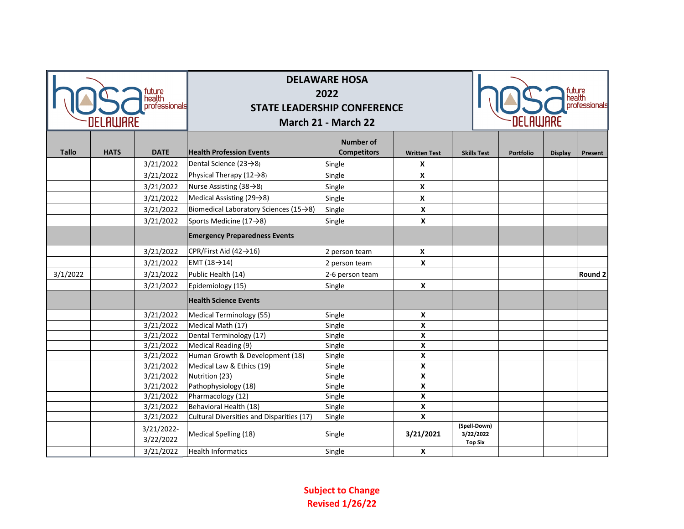| nealth<br>professionals<br>.Aluare |             |                         | <b>DELAWARE HOSA</b><br>2022<br><b>STATE LEADERSHIP CONFERENCE</b><br>March 21 - March 22 |                                        |                           | professionals<br>IELHWHRE   |                  |                |         |
|------------------------------------|-------------|-------------------------|-------------------------------------------------------------------------------------------|----------------------------------------|---------------------------|-----------------------------|------------------|----------------|---------|
| <b>Tallo</b>                       | <b>HATS</b> | <b>DATE</b>             | <b>Health Profession Events</b>                                                           | <b>Number of</b><br><b>Competitors</b> | <b>Written Test</b>       | <b>Skills Test</b>          | <b>Portfolio</b> | <b>Display</b> | Present |
|                                    |             | 3/21/2022               | Dental Science (23 $\rightarrow$ 8)                                                       | Single                                 | $\boldsymbol{x}$          |                             |                  |                |         |
|                                    |             | 3/21/2022               | Physical Therapy $(12\rightarrow8)$                                                       | Single                                 | $\boldsymbol{x}$          |                             |                  |                |         |
|                                    |             | 3/21/2022               | Nurse Assisting $(38 \rightarrow 8)$                                                      | Single                                 | $\pmb{\chi}$              |                             |                  |                |         |
|                                    |             | 3/21/2022               | Medical Assisting (29→8)                                                                  | Single                                 | $\boldsymbol{\mathsf{x}}$ |                             |                  |                |         |
|                                    |             | 3/21/2022               | Biomedical Laboratory Sciences (15 $\rightarrow$ 8)                                       | Single                                 | X                         |                             |                  |                |         |
|                                    |             | 3/21/2022               | Sports Medicine (17→8)                                                                    | Single                                 | $\boldsymbol{x}$          |                             |                  |                |         |
|                                    |             |                         | <b>Emergency Preparedness Events</b>                                                      |                                        |                           |                             |                  |                |         |
|                                    |             | 3/21/2022               | CPR/First Aid (42→16)                                                                     | 2 person team                          | $\boldsymbol{x}$          |                             |                  |                |         |
|                                    |             | 3/21/2022               | EMT (18 $\rightarrow$ 14)                                                                 | 2 person team                          | $\boldsymbol{x}$          |                             |                  |                |         |
| 3/1/2022                           |             | 3/21/2022               | Public Health (14)                                                                        | 2-6 person team                        |                           |                             |                  |                | Round 2 |
|                                    |             | 3/21/2022               | Epidemiology (15)                                                                         | Single                                 | $\mathbf{x}$              |                             |                  |                |         |
|                                    |             |                         | <b>Health Science Events</b>                                                              |                                        |                           |                             |                  |                |         |
|                                    |             | 3/21/2022               | Medical Terminology (55)                                                                  | Single                                 | $\boldsymbol{x}$          |                             |                  |                |         |
|                                    |             | 3/21/2022               | Medical Math (17)                                                                         | Single                                 | X                         |                             |                  |                |         |
|                                    |             | 3/21/2022               | Dental Terminology (17)                                                                   | Single                                 | X                         |                             |                  |                |         |
|                                    |             | 3/21/2022               | Medical Reading (9)                                                                       | Single                                 | X                         |                             |                  |                |         |
|                                    |             | 3/21/2022               | Human Growth & Development (18)                                                           | Single                                 | $\boldsymbol{x}$          |                             |                  |                |         |
|                                    |             | 3/21/2022               | Medical Law & Ethics (19)                                                                 | Single                                 | X                         |                             |                  |                |         |
|                                    |             | 3/21/2022               | Nutrition (23)                                                                            | Single                                 | X                         |                             |                  |                |         |
|                                    |             | 3/21/2022               | Pathophysiology (18)                                                                      | Single                                 | X                         |                             |                  |                |         |
|                                    |             | 3/21/2022               | Pharmacology (12)                                                                         | Single                                 | X                         |                             |                  |                |         |
|                                    |             | 3/21/2022               | Behavioral Health (18)                                                                    | Single                                 | $\mathsf{x}$              |                             |                  |                |         |
|                                    |             | 3/21/2022               | Cultural Diversities and Disparities (17)                                                 | Single                                 | X                         | (Spell-Down)                |                  |                |         |
|                                    |             | 3/21/2022-<br>3/22/2022 | Medical Spelling (18)                                                                     | Single                                 | 3/21/2021                 | 3/22/2022<br><b>Top Six</b> |                  |                |         |
|                                    |             | 3/21/2022               | <b>Health Informatics</b>                                                                 | Single                                 | X                         |                             |                  |                |         |

**Subject to Change Revised 1/26/22**